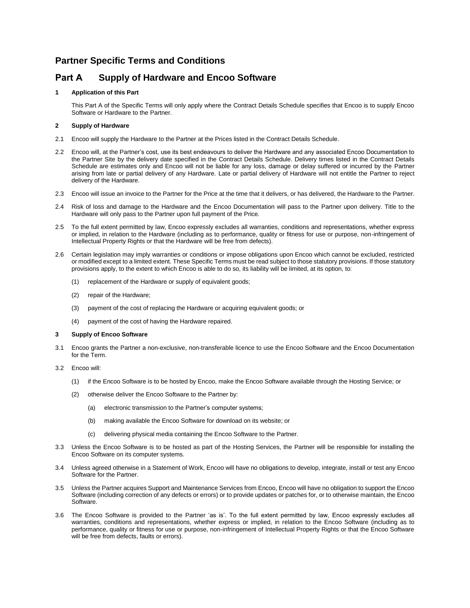## **Partner Specific Terms and Conditions**

# **Part A Supply of Hardware and Encoo Software**

## **1 Application of this Part**

This Part A of the Specific Terms will only apply where the Contract Details Schedule specifies that Encoo is to supply Encoo Software or Hardware to the Partner.

### **2 Supply of Hardware**

- 2.1 Encoo will supply the Hardware to the Partner at the Prices listed in the Contract Details Schedule.
- 2.2 Encoo will, at the Partner's cost, use its best endeavours to deliver the Hardware and any associated Encoo Documentation to the Partner Site by the delivery date specified in the Contract Details Schedule. Delivery times listed in the Contract Details Schedule are estimates only and Encoo will not be liable for any loss, damage or delay suffered or incurred by the Partner arising from late or partial delivery of any Hardware. Late or partial delivery of Hardware will not entitle the Partner to reject delivery of the Hardware.
- 2.3 Encoo will issue an invoice to the Partner for the Price at the time that it delivers, or has delivered, the Hardware to the Partner.
- 2.4 Risk of loss and damage to the Hardware and the Encoo Documentation will pass to the Partner upon delivery. Title to the Hardware will only pass to the Partner upon full payment of the Price.
- 2.5 To the full extent permitted by law, Encoo expressly excludes all warranties, conditions and representations, whether express or implied, in relation to the Hardware (including as to performance, quality or fitness for use or purpose, non-infringement of Intellectual Property Rights or that the Hardware will be free from defects).
- 2.6 Certain legislation may imply warranties or conditions or impose obligations upon Encoo which cannot be excluded, restricted or modified except to a limited extent. These Specific Terms must be read subject to those statutory provisions. If those statutory provisions apply, to the extent to which Encoo is able to do so, its liability will be limited, at its option, to:
	- (1) replacement of the Hardware or supply of equivalent goods;
	- (2) repair of the Hardware;
	- (3) payment of the cost of replacing the Hardware or acquiring equivalent goods; or
	- (4) payment of the cost of having the Hardware repaired.

#### **3 Supply of Encoo Software**

- 3.1 Encoo grants the Partner a non-exclusive, non-transferable licence to use the Encoo Software and the Encoo Documentation for the Term.
- 3.2 Encoo will:
	- (1) if the Encoo Software is to be hosted by Encoo, make the Encoo Software available through the Hosting Service; or
	- (2) otherwise deliver the Encoo Software to the Partner by:
		- (a) electronic transmission to the Partner's computer systems;
		- (b) making available the Encoo Software for download on its website; or
		- (c) delivering physical media containing the Encoo Software to the Partner.
- 3.3 Unless the Encoo Software is to be hosted as part of the Hosting Services, the Partner will be responsible for installing the Encoo Software on its computer systems.
- 3.4 Unless agreed otherwise in a Statement of Work, Encoo will have no obligations to develop, integrate, install or test any Encoo Software for the Partner.
- 3.5 Unless the Partner acquires Support and Maintenance Services from Encoo, Encoo will have no obligation to support the Encoo Software (including correction of any defects or errors) or to provide updates or patches for, or to otherwise maintain, the Encoo Software.
- 3.6 The Encoo Software is provided to the Partner 'as is'. To the full extent permitted by law, Encoo expressly excludes all warranties, conditions and representations, whether express or implied, in relation to the Encoo Software (including as to performance, quality or fitness for use or purpose, non-infringement of Intellectual Property Rights or that the Encoo Software will be free from defects, faults or errors).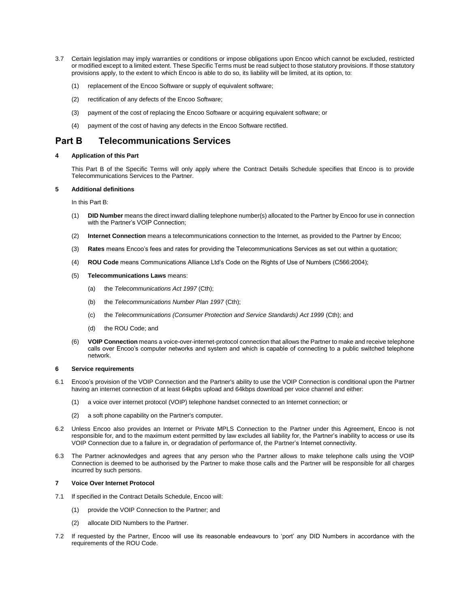- 3.7 Certain legislation may imply warranties or conditions or impose obligations upon Encoo which cannot be excluded, restricted or modified except to a limited extent. These Specific Terms must be read subject to those statutory provisions. If those statutory provisions apply, to the extent to which Encoo is able to do so, its liability will be limited, at its option, to:
	- (1) replacement of the Encoo Software or supply of equivalent software;
	- (2) rectification of any defects of the Encoo Software;
	- (3) payment of the cost of replacing the Encoo Software or acquiring equivalent software; or
	- (4) payment of the cost of having any defects in the Encoo Software rectified.

## **Part B Telecommunications Services**

### **4 Application of this Part**

This Part B of the Specific Terms will only apply where the Contract Details Schedule specifies that Encoo is to provide Telecommunications Services to the Partner.

## **5 Additional definitions**

In this Part B:

- (1) **DID Number** means the direct inward dialling telephone number(s) allocated to the Partner by Encoo for use in connection with the Partner's VOIP Connection;
- (2) **Internet Connection** means a telecommunications connection to the Internet, as provided to the Partner by Encoo;
- (3) **Rates** means Encoo's fees and rates for providing the Telecommunications Services as set out within a quotation;
- (4) **ROU Code** means Communications Alliance Ltd's Code on the Rights of Use of Numbers (C566:2004);
- (5) **Telecommunications Laws** means:
	- (a) the *Telecommunications Act 1997* (Cth);
	- (b) the *Telecommunications Number Plan 1997* (Cth);
	- (c) the *Telecommunications (Consumer Protection and Service Standards) Act 1999* (Cth); and
	- (d) the ROU Code; and
- (6) **VOIP Connection** means a voice-over-internet-protocol connection that allows the Partner to make and receive telephone calls over Encoo's computer networks and system and which is capable of connecting to a public switched telephone network.

#### **6 Service requirements**

- 6.1 Encoo's provision of the VOIP Connection and the Partner's ability to use the VOIP Connection is conditional upon the Partner having an internet connection of at least 64kpbs upload and 64kbps download per voice channel and either:
	- (1) a voice over internet protocol (VOIP) telephone handset connected to an Internet connection; or
	- (2) a soft phone capability on the Partner's computer.
- 6.2 Unless Encoo also provides an Internet or Private MPLS Connection to the Partner under this Agreement, Encoo is not responsible for, and to the maximum extent permitted by law excludes all liability for, the Partner's inability to access or use its VOIP Connection due to a failure in, or degradation of performance of, the Partner's Internet connectivity.
- 6.3 The Partner acknowledges and agrees that any person who the Partner allows to make telephone calls using the VOIP Connection is deemed to be authorised by the Partner to make those calls and the Partner will be responsible for all charges incurred by such persons.

#### **7 Voice Over Internet Protocol**

- 7.1 If specified in the Contract Details Schedule, Encoo will:
	- (1) provide the VOIP Connection to the Partner; and
	- (2) allocate DID Numbers to the Partner.
- 7.2 If requested by the Partner, Encoo will use its reasonable endeavours to 'port' any DID Numbers in accordance with the requirements of the ROU Code.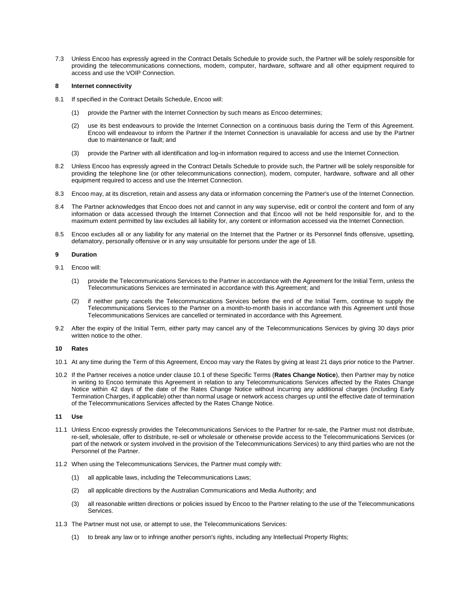7.3 Unless Encoo has expressly agreed in the Contract Details Schedule to provide such, the Partner will be solely responsible for providing the telecommunications connections, modem, computer, hardware, software and all other equipment required to access and use the VOIP Connection.

#### **8 Internet connectivity**

- 8.1 If specified in the Contract Details Schedule, Encoo will:
	- (1) provide the Partner with the Internet Connection by such means as Encoo determines;
	- (2) use its best endeavours to provide the Internet Connection on a continuous basis during the Term of this Agreement. Encoo will endeavour to inform the Partner if the Internet Connection is unavailable for access and use by the Partner due to maintenance or fault; and
	- (3) provide the Partner with all identification and log-in information required to access and use the Internet Connection.
- 8.2 Unless Encoo has expressly agreed in the Contract Details Schedule to provide such, the Partner will be solely responsible for providing the telephone line (or other telecommunications connection), modem, computer, hardware, software and all other equipment required to access and use the Internet Connection.
- 8.3 Encoo may, at its discretion, retain and assess any data or information concerning the Partner's use of the Internet Connection.
- 8.4 The Partner acknowledges that Encoo does not and cannot in any way supervise, edit or control the content and form of any information or data accessed through the Internet Connection and that Encoo will not be held responsible for, and to the maximum extent permitted by law excludes all liability for, any content or information accessed via the Internet Connection.
- 8.5 Encoo excludes all or any liability for any material on the Internet that the Partner or its Personnel finds offensive, upsetting, defamatory, personally offensive or in any way unsuitable for persons under the age of 18.

#### **9 Duration**

- 9.1 Encoo will:
	- provide the Telecommunications Services to the Partner in accordance with the Agreement for the Initial Term, unless the Telecommunications Services are terminated in accordance with this Agreement; and
	- (2) if neither party cancels the Telecommunications Services before the end of the Initial Term, continue to supply the Telecommunications Services to the Partner on a month-to-month basis in accordance with this Agreement until those Telecommunications Services are cancelled or terminated in accordance with this Agreement.
- 9.2 After the expiry of the Initial Term, either party may cancel any of the Telecommunications Services by giving 30 days prior written notice to the other.

#### **10 Rates**

- 10.1 At any time during the Term of this Agreement, Encoo may vary the Rates by giving at least 21 days prior notice to the Partner.
- 10.2 If the Partner receives a notice under clause 10.1 of these Specific Terms (**Rates Change Notice**), then Partner may by notice in writing to Encoo terminate this Agreement in relation to any Telecommunications Services affected by the Rates Change Notice within 42 days of the date of the Rates Change Notice without incurring any additional charges (including Early Termination Charges, if applicable) other than normal usage or network access charges up until the effective date of termination of the Telecommunications Services affected by the Rates Change Notice.

## **11 Use**

- 11.1 Unless Encoo expressly provides the Telecommunications Services to the Partner for re-sale, the Partner must not distribute, re-sell, wholesale, offer to distribute, re-sell or wholesale or otherwise provide access to the Telecommunications Services (or part of the network or system involved in the provision of the Telecommunications Services) to any third parties who are not the Personnel of the Partner.
- 11.2 When using the Telecommunications Services, the Partner must comply with:
	- (1) all applicable laws, including the Telecommunications Laws;
	- (2) all applicable directions by the Australian Communications and Media Authority; and
	- (3) all reasonable written directions or policies issued by Encoo to the Partner relating to the use of the Telecommunications Services.
- 11.3 The Partner must not use, or attempt to use, the Telecommunications Services:
	- (1) to break any law or to infringe another person's rights, including any Intellectual Property Rights;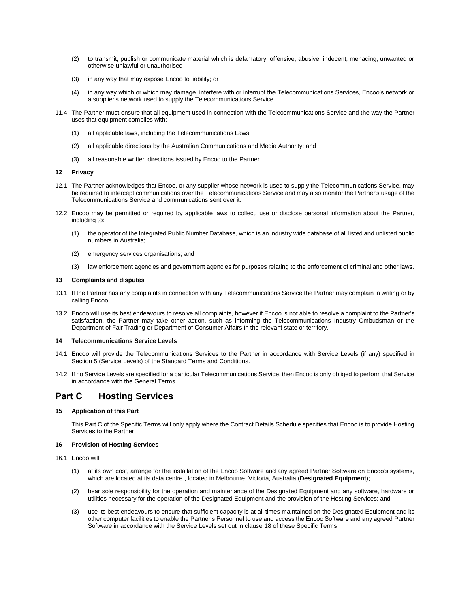- (2) to transmit, publish or communicate material which is defamatory, offensive, abusive, indecent, menacing, unwanted or otherwise unlawful or unauthorised
- (3) in any way that may expose Encoo to liability; or
- (4) in any way which or which may damage, interfere with or interrupt the Telecommunications Services, Encoo's network or a supplier's network used to supply the Telecommunications Service.
- 11.4 The Partner must ensure that all equipment used in connection with the Telecommunications Service and the way the Partner uses that equipment complies with:
	- (1) all applicable laws, including the Telecommunications Laws;
	- (2) all applicable directions by the Australian Communications and Media Authority; and
	- (3) all reasonable written directions issued by Encoo to the Partner.

#### **12 Privacy**

- 12.1 The Partner acknowledges that Encoo, or any supplier whose network is used to supply the Telecommunications Service, may be required to intercept communications over the Telecommunications Service and may also monitor the Partner's usage of the Telecommunications Service and communications sent over it.
- 12.2 Encoo may be permitted or required by applicable laws to collect, use or disclose personal information about the Partner, including to:
	- (1) the operator of the Integrated Public Number Database, which is an industry wide database of all listed and unlisted public numbers in Australia;
	- (2) emergency services organisations; and
	- (3) law enforcement agencies and government agencies for purposes relating to the enforcement of criminal and other laws.

#### **13 Complaints and disputes**

- 13.1 If the Partner has any complaints in connection with any Telecommunications Service the Partner may complain in writing or by calling Encoo.
- 13.2 Encoo will use its best endeavours to resolve all complaints, however if Encoo is not able to resolve a complaint to the Partner's satisfaction, the Partner may take other action, such as informing the Telecommunications Industry Ombudsman or the Department of Fair Trading or Department of Consumer Affairs in the relevant state or territory.

#### **14 Telecommunications Service Levels**

- 14.1 Encoo will provide the Telecommunications Services to the Partner in accordance with Service Levels (if any) specified in Section 5 (Service Levels) of the Standard Terms and Conditions.
- 14.2 If no Service Levels are specified for a particular Telecommunications Service, then Encoo is only obliged to perform that Service in accordance with the General Terms.

## **Part C Hosting Services**

#### **15 Application of this Part**

This Part C of the Specific Terms will only apply where the Contract Details Schedule specifies that Encoo is to provide Hosting Services to the Partner.

#### **16 Provision of Hosting Services**

- 16.1 Encoo will:
	- (1) at its own cost, arrange for the installation of the Encoo Software and any agreed Partner Software on Encoo's systems, which are located at its data centre , located in Melbourne, Victoria, Australia (**Designated Equipment**);
	- (2) bear sole responsibility for the operation and maintenance of the Designated Equipment and any software, hardware or utilities necessary for the operation of the Designated Equipment and the provision of the Hosting Services; and
	- (3) use its best endeavours to ensure that sufficient capacity is at all times maintained on the Designated Equipment and its other computer facilities to enable the Partner's Personnel to use and access the Encoo Software and any agreed Partner Software in accordance with the Service Levels set out in clause 18 of these Specific Terms.